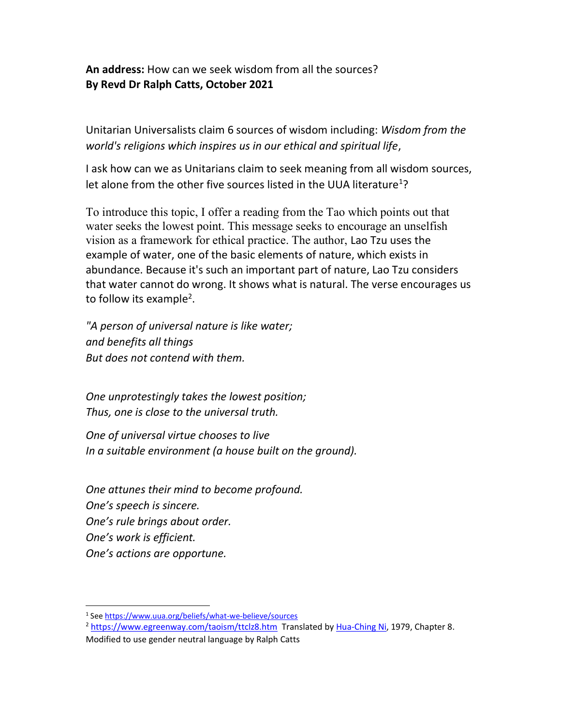An address: How can we seek wisdom from all the sources? By Revd Dr Ralph Catts, October 2021

Unitarian Universalists claim 6 sources of wisdom including: Wisdom from the world's religions which inspires us in our ethical and spiritual life,

I ask how can we as Unitarians claim to seek meaning from all wisdom sources, let alone from the other five sources listed in the UUA literature<sup>1</sup>?

To introduce this topic, I offer a reading from the Tao which points out that water seeks the lowest point. This message seeks to encourage an unselfish vision as a framework for ethical practice. The author, Lao Tzu uses the example of water, one of the basic elements of nature, which exists in abundance. Because it's such an important part of nature, Lao Tzu considers that water cannot do wrong. It shows what is natural. The verse encourages us to follow its example<sup>2</sup>.

"A person of universal nature is like water; and benefits all things But does not contend with them.

One unprotestingly takes the lowest position; Thus, one is close to the universal truth.

One of universal virtue chooses to live In a suitable environment (a house built on the ground).

One attunes their mind to become profound. One's speech is sincere. One's rule brings about order. One's work is efficient. One's actions are opportune.

<sup>&</sup>lt;sup>1</sup> See https://www.uua.org/beliefs/what-we-believe/sources

<sup>2</sup> https://www.egreenway.com/taoism/ttclz8.htm Translated by Hua-Ching Ni, 1979, Chapter 8.

Modified to use gender neutral language by Ralph Catts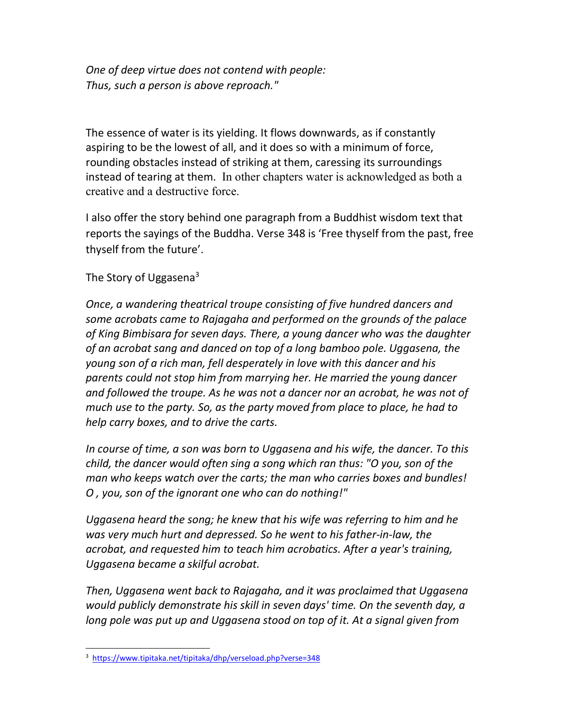One of deep virtue does not contend with people: Thus, such a person is above reproach."

The essence of water is its yielding. It flows downwards, as if constantly aspiring to be the lowest of all, and it does so with a minimum of force, rounding obstacles instead of striking at them, caressing its surroundings instead of tearing at them. In other chapters water is acknowledged as both a creative and a destructive force.

I also offer the story behind one paragraph from a Buddhist wisdom text that reports the sayings of the Buddha. Verse 348 is 'Free thyself from the past, free thyself from the future'.

The Story of Uggasena $3$ 

Once, a wandering theatrical troupe consisting of five hundred dancers and some acrobats came to Rajagaha and performed on the grounds of the palace of King Bimbisara for seven days. There, a young dancer who was the daughter of an acrobat sang and danced on top of a long bamboo pole. Uggasena, the young son of a rich man, fell desperately in love with this dancer and his parents could not stop him from marrying her. He married the young dancer and followed the troupe. As he was not a dancer nor an acrobat, he was not of much use to the party. So, as the party moved from place to place, he had to help carry boxes, and to drive the carts.

In course of time, a son was born to Uggasena and his wife, the dancer. To this child, the dancer would often sing a song which ran thus: "O you, son of the man who keeps watch over the carts; the man who carries boxes and bundles! O , you, son of the ignorant one who can do nothing!"

Uggasena heard the song; he knew that his wife was referring to him and he was very much hurt and depressed. So he went to his father-in-law, the acrobat, and requested him to teach him acrobatics. After a year's training, Uggasena became a skilful acrobat.

Then, Uggasena went back to Rajagaha, and it was proclaimed that Uggasena would publicly demonstrate his skill in seven days' time. On the seventh day, a long pole was put up and Uggasena stood on top of it. At a signal given from

<sup>3</sup> https://www.tipitaka.net/tipitaka/dhp/verseload.php?verse=348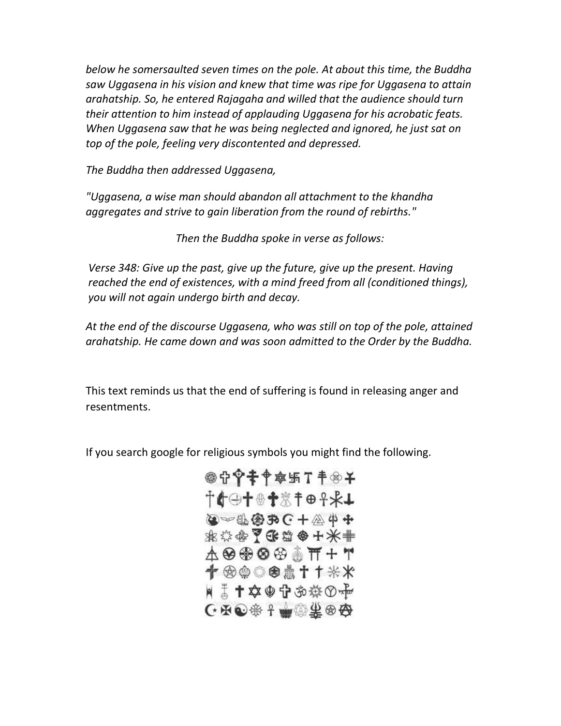below he somersaulted seven times on the pole. At about this time, the Buddha saw Uggasena in his vision and knew that time was ripe for Uggasena to attain arahatship. So, he entered Rajagaha and willed that the audience should turn their attention to him instead of applauding Uggasena for his acrobatic feats. When Uggasena saw that he was being neglected and ignored, he just sat on top of the pole, feeling very discontented and depressed.

The Buddha then addressed Uggasena,

"Uggasena, a wise man should abandon all attachment to the khandha aggregates and strive to gain liberation from the round of rebirths."

Then the Buddha spoke in verse as follows:

Verse 348: Give up the past, give up the future, give up the present. Having reached the end of existences, with a mind freed from all (conditioned things), you will not again undergo birth and decay.

At the end of the discourse Uggasena, who was still on top of the pole, attained arahatship. He came down and was soon admitted to the Order by the Buddha.

This text reminds us that the end of suffering is found in releasing anger and resentments.

If you search google for religious symbols you might find the following.

◎守宰幸争寧卐于●子 **+0+01%109\*+**  $\bullet$  +  $\circledast$  +  $\circledast$  +  $\circledast$  +  $\circledast$ 水谷伞了乐篇命十米非 **A ❸ ❀ ❹ <sup>④</sup> ④ ↑ T + T** 十一的的医术十十米米 ■ 高十卒+守お券⊙や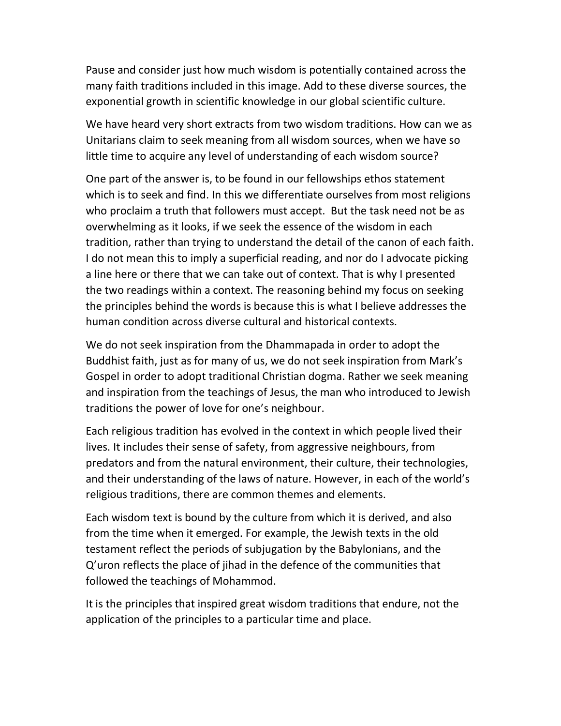Pause and consider just how much wisdom is potentially contained across the many faith traditions included in this image. Add to these diverse sources, the exponential growth in scientific knowledge in our global scientific culture.

We have heard very short extracts from two wisdom traditions. How can we as Unitarians claim to seek meaning from all wisdom sources, when we have so little time to acquire any level of understanding of each wisdom source?

One part of the answer is, to be found in our fellowships ethos statement which is to seek and find. In this we differentiate ourselves from most religions who proclaim a truth that followers must accept. But the task need not be as overwhelming as it looks, if we seek the essence of the wisdom in each tradition, rather than trying to understand the detail of the canon of each faith. I do not mean this to imply a superficial reading, and nor do I advocate picking a line here or there that we can take out of context. That is why I presented the two readings within a context. The reasoning behind my focus on seeking the principles behind the words is because this is what I believe addresses the human condition across diverse cultural and historical contexts.

We do not seek inspiration from the Dhammapada in order to adopt the Buddhist faith, just as for many of us, we do not seek inspiration from Mark's Gospel in order to adopt traditional Christian dogma. Rather we seek meaning and inspiration from the teachings of Jesus, the man who introduced to Jewish traditions the power of love for one's neighbour.

Each religious tradition has evolved in the context in which people lived their lives. It includes their sense of safety, from aggressive neighbours, from predators and from the natural environment, their culture, their technologies, and their understanding of the laws of nature. However, in each of the world's religious traditions, there are common themes and elements.

Each wisdom text is bound by the culture from which it is derived, and also from the time when it emerged. For example, the Jewish texts in the old testament reflect the periods of subjugation by the Babylonians, and the Q'uron reflects the place of jihad in the defence of the communities that followed the teachings of Mohammod.

It is the principles that inspired great wisdom traditions that endure, not the application of the principles to a particular time and place.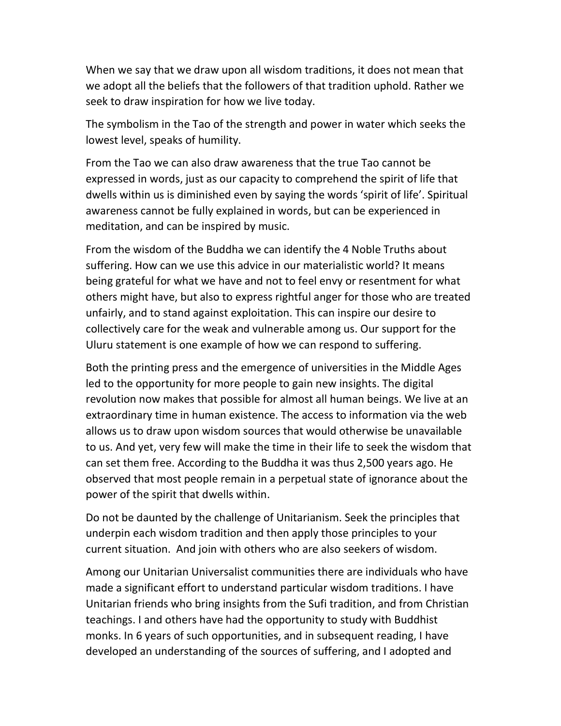When we say that we draw upon all wisdom traditions, it does not mean that we adopt all the beliefs that the followers of that tradition uphold. Rather we seek to draw inspiration for how we live today.

The symbolism in the Tao of the strength and power in water which seeks the lowest level, speaks of humility.

From the Tao we can also draw awareness that the true Tao cannot be expressed in words, just as our capacity to comprehend the spirit of life that dwells within us is diminished even by saying the words 'spirit of life'. Spiritual awareness cannot be fully explained in words, but can be experienced in meditation, and can be inspired by music.

From the wisdom of the Buddha we can identify the 4 Noble Truths about suffering. How can we use this advice in our materialistic world? It means being grateful for what we have and not to feel envy or resentment for what others might have, but also to express rightful anger for those who are treated unfairly, and to stand against exploitation. This can inspire our desire to collectively care for the weak and vulnerable among us. Our support for the Uluru statement is one example of how we can respond to suffering.

Both the printing press and the emergence of universities in the Middle Ages led to the opportunity for more people to gain new insights. The digital revolution now makes that possible for almost all human beings. We live at an extraordinary time in human existence. The access to information via the web allows us to draw upon wisdom sources that would otherwise be unavailable to us. And yet, very few will make the time in their life to seek the wisdom that can set them free. According to the Buddha it was thus 2,500 years ago. He observed that most people remain in a perpetual state of ignorance about the power of the spirit that dwells within.

Do not be daunted by the challenge of Unitarianism. Seek the principles that underpin each wisdom tradition and then apply those principles to your current situation. And join with others who are also seekers of wisdom.

Among our Unitarian Universalist communities there are individuals who have made a significant effort to understand particular wisdom traditions. I have Unitarian friends who bring insights from the Sufi tradition, and from Christian teachings. I and others have had the opportunity to study with Buddhist monks. In 6 years of such opportunities, and in subsequent reading, I have developed an understanding of the sources of suffering, and I adopted and